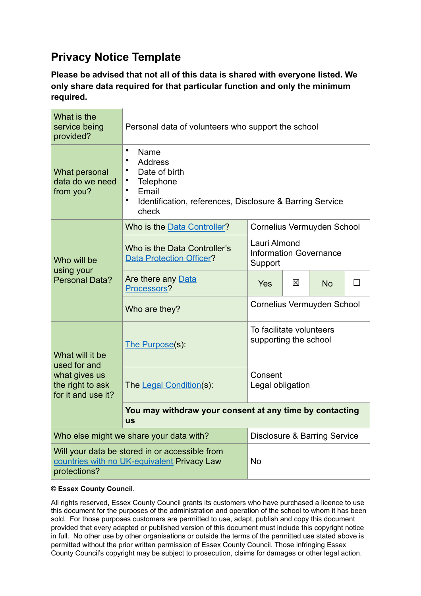## **Privacy Notice Template**

**Please be advised that not all of this data is shared with everyone listed. We only share data required for that particular function and only the minimum required.**

| What is the<br>service being<br>provided?                                                                     | Personal data of volunteers who support the school                                                                                                                                                  |                                                          |   |           |        |  |
|---------------------------------------------------------------------------------------------------------------|-----------------------------------------------------------------------------------------------------------------------------------------------------------------------------------------------------|----------------------------------------------------------|---|-----------|--------|--|
| What personal<br>data do we need<br>from you?                                                                 | $\bullet$<br>Name<br>$\bullet$<br><b>Address</b><br>$\bullet$<br>Date of birth<br>Telephone<br>$\bullet$<br>Email<br>$\bullet$<br>Identification, references, Disclosure & Barring Service<br>check |                                                          |   |           |        |  |
| Who will be<br>using your<br><b>Personal Data?</b>                                                            | Who is the Data Controller?                                                                                                                                                                         | Cornelius Vermuyden School                               |   |           |        |  |
|                                                                                                               | Who is the Data Controller's<br><b>Data Protection Officer?</b>                                                                                                                                     | Lauri Almond<br><b>Information Governance</b><br>Support |   |           |        |  |
|                                                                                                               | Are there any Data<br>Processors?                                                                                                                                                                   | Yes                                                      | 区 | <b>No</b> | $\Box$ |  |
|                                                                                                               | Who are they?                                                                                                                                                                                       | Cornelius Vermuyden School                               |   |           |        |  |
| What will it be<br>used for and<br>what gives us<br>the right to ask<br>for it and use it?                    | The Purpose(s):                                                                                                                                                                                     | To facilitate volunteers<br>supporting the school        |   |           |        |  |
|                                                                                                               | The Legal Condition(s):                                                                                                                                                                             | Consent<br>Legal obligation                              |   |           |        |  |
|                                                                                                               | You may withdraw your consent at any time by contacting<br><b>US</b>                                                                                                                                |                                                          |   |           |        |  |
| Who else might we share your data with?                                                                       | Disclosure & Barring Service                                                                                                                                                                        |                                                          |   |           |        |  |
| Will your data be stored in or accessible from<br>countries with no UK-equivalent Privacy Law<br>protections? | <b>No</b>                                                                                                                                                                                           |                                                          |   |           |        |  |

## **© Essex County Council**.

All rights reserved, Essex County Council grants its customers who have purchased a licence to use this document for the purposes of the administration and operation of the school to whom it has been sold. For those purposes customers are permitted to use, adapt, publish and copy this document provided that every adapted or published version of this document must include this copyright notice in full. No other use by other organisations or outside the terms of the permitted use stated above is permitted without the prior written permission of Essex County Council. Those infringing Essex County Council's copyright may be subject to prosecution, claims for damages or other legal action.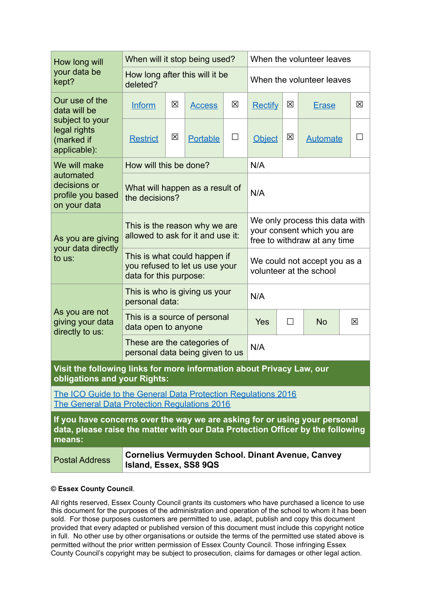| How long will<br>your data be<br>kept?                                                                                                                                  | When will it stop being used?                                                            |   |                 |                                                                                              | When the volunteer leaves |           |                                                          |             |
|-------------------------------------------------------------------------------------------------------------------------------------------------------------------------|------------------------------------------------------------------------------------------|---|-----------------|----------------------------------------------------------------------------------------------|---------------------------|-----------|----------------------------------------------------------|-------------|
|                                                                                                                                                                         | How long after this will it be<br>deleted?                                               |   |                 | When the volunteer leaves                                                                    |                           |           |                                                          |             |
| Our use of the<br>data will be<br>subject to your<br>legal rights<br>(marked if<br>applicable):                                                                         | <b>Inform</b>                                                                            | 区 | <b>Access</b>   | 区                                                                                            | <b>Rectify</b>            | 区         | <b>Erase</b>                                             | $\boxtimes$ |
|                                                                                                                                                                         | <b>Restrict</b>                                                                          | 図 | <b>Portable</b> | $\Box$                                                                                       | <b>Object</b>             | 区         | <b>Automate</b>                                          |             |
| We will make<br>automated<br>decisions or<br>profile you based<br>on your data                                                                                          | How will this be done?                                                                   |   |                 | N/A                                                                                          |                           |           |                                                          |             |
|                                                                                                                                                                         | What will happen as a result of<br>the decisions?                                        |   |                 |                                                                                              | N/A                       |           |                                                          |             |
| As you are giving<br>your data directly<br>to us:                                                                                                                       | This is the reason why we are<br>allowed to ask for it and use it:                       |   |                 | We only process this data with<br>your consent which you are<br>free to withdraw at any time |                           |           |                                                          |             |
|                                                                                                                                                                         | This is what could happen if<br>you refused to let us use your<br>data for this purpose: |   |                 | We could not accept you as a<br>volunteer at the school                                      |                           |           |                                                          |             |
| As you are not<br>giving your data<br>directly to us:                                                                                                                   | This is who is giving us your<br>personal data:                                          |   |                 | N/A                                                                                          |                           |           |                                                          |             |
|                                                                                                                                                                         | This is a source of personal<br>data open to anyone                                      |   |                 | Yes                                                                                          | $\Box$                    | <b>No</b> | ⊠                                                        |             |
|                                                                                                                                                                         | These are the categories of<br>personal data being given to us                           |   |                 |                                                                                              | N/A                       |           |                                                          |             |
| Visit the following links for more information about Privacy Law, our<br>obligations and your Rights:                                                                   |                                                                                          |   |                 |                                                                                              |                           |           |                                                          |             |
| The ICO Guide to the General Data Protection Regulations 2016<br><b>The General Data Protection Requlations 2016</b>                                                    |                                                                                          |   |                 |                                                                                              |                           |           |                                                          |             |
| If you have concerns over the way we are asking for or using your personal<br>data, please raise the matter with our Data Protection Officer by the following<br>means: |                                                                                          |   |                 |                                                                                              |                           |           |                                                          |             |
| <b>Postal Address</b>                                                                                                                                                   | Island, Essex, SS8 9QS                                                                   |   |                 |                                                                                              |                           |           | <b>Cornelius Vermuyden School. Dinant Avenue, Canvey</b> |             |

## **© Essex County Council**.

All rights reserved, Essex County Council grants its customers who have purchased a licence to use this document for the purposes of the administration and operation of the school to whom it has been sold. For those purposes customers are permitted to use, adapt, publish and copy this document provided that every adapted or published version of this document must include this copyright notice in full. No other use by other organisations or outside the terms of the permitted use stated above is permitted without the prior written permission of Essex County Council. Those infringing Essex County Council's copyright may be subject to prosecution, claims for damages or other legal action.